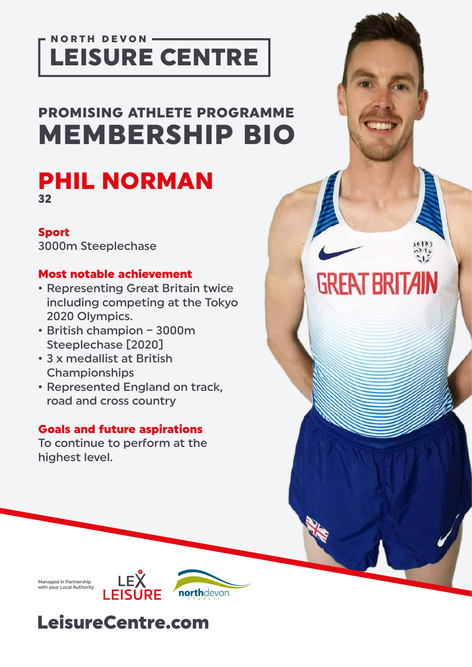### **NORTH DEVON-**LEISURE CENTRE

# PROMISING ATHLETE PROGRAMME MEMBERSHIP BIO

**GREAT BRITAIN** 

### PHIL NORMAN 32

#### Sport

3000m Steeplechase

#### Most notable achievement

- Representing Great Britain twice including competing at the Tokyo 2020 Olympics.
- British champion 3000m Steeplechase [2020]
- 3 x medallist at British Championships
- Represented England on track, road and cross country

#### Goals and future aspirations

To continue to perform at the highest level.

Managed in Partnership with your Local Authority